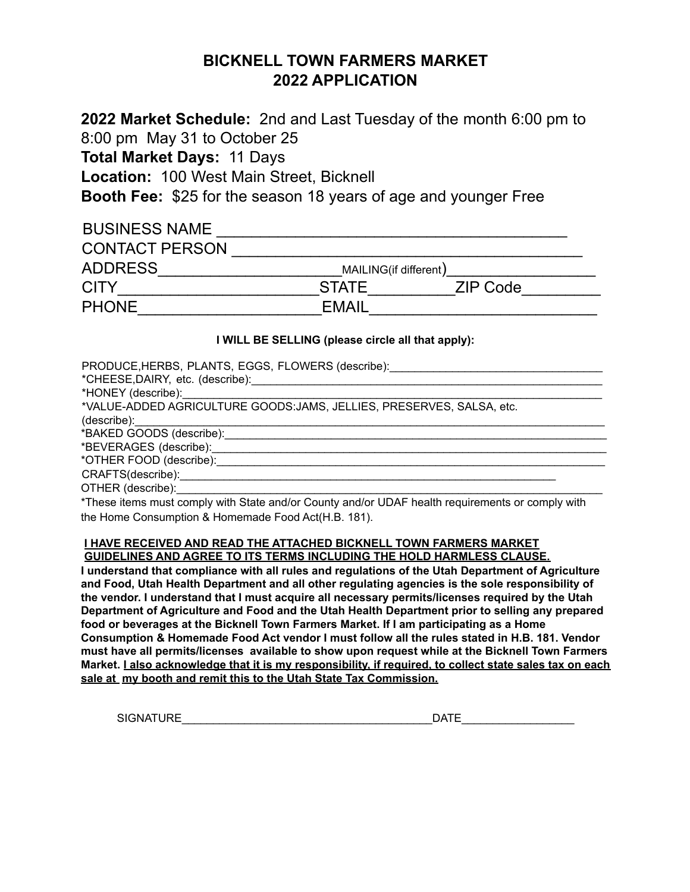# **BICKNELL TOWN FARMERS MARKET 2022 APPLICATION**

**2022 Market Schedule:** 2nd and Last Tuesday of the month 6:00 pm to 8:00 pm May 31 to October 25 **Total Market Days:** 11 Days

**Location:** 100 West Main Street, Bicknell

**Booth Fee:** \$25 for the season 18 years of age and younger Free

| <b>BUSINESS NAME</b>  |                       |          |  |  |  |
|-----------------------|-----------------------|----------|--|--|--|
| <b>CONTACT PERSON</b> |                       |          |  |  |  |
| <b>ADDRESS</b>        | MAILING(if different) |          |  |  |  |
| <b>CITY</b>           | <b>STATE</b>          | ZIP Code |  |  |  |
| <b>PHONE</b>          | EMAIL                 |          |  |  |  |

## **I WILL BE SELLING (please circle all that apply):**

| PRODUCE, HERBS, PLANTS, EGGS, FLOWERS (describe): ______________________________ |
|----------------------------------------------------------------------------------|
|                                                                                  |
| *VALUE-ADDED AGRICULTURE GOODS:JAMS, JELLIES, PRESERVES, SALSA, etc.             |
|                                                                                  |
|                                                                                  |
| *BEVERAGES (describe):_____________________                                      |
| *OTHER FOOD (describe):                                                          |
|                                                                                  |
| OTHER (describe):                                                                |

\*These items must comply with State and/or County and/or UDAF health requirements or comply with the Home Consumption & Homemade Food Act(H.B. 181).

#### **I HAVE RECEIVED AND READ THE ATTACHED BICKNELL TOWN FARMERS MARKET GUIDELINES AND AGREE TO ITS TERMS INCLUDING THE HOLD HARMLESS CLAUSE.**

**I understand that compliance with all rules and regulations of the Utah Department of Agriculture and Food, Utah Health Department and all other regulating agencies is the sole responsibility of the vendor. I understand that I must acquire all necessary permits/licenses required by the Utah Department of Agriculture and Food and the Utah Health Department prior to selling any prepared food or beverages at the Bicknell Town Farmers Market. If I am participating as a Home Consumption & Homemade Food Act vendor I must follow all the rules stated in H.B. 181. Vendor must have all permits/licenses available to show upon request while at the Bicknell Town Farmers** Market. I also acknowledge that it is my responsibility, if required, to collect state sales tax on each **sale at my booth and remit this to the Utah State Tax Commission.**

SIGNATURE\_\_\_\_\_\_\_\_\_\_\_\_\_\_\_\_\_\_\_\_\_\_\_\_\_\_\_\_\_\_\_\_\_\_\_\_\_\_\_\_DATE\_\_\_\_\_\_\_\_\_\_\_\_\_\_\_\_\_\_

| DATE |  |  |  |  |  |
|------|--|--|--|--|--|
|      |  |  |  |  |  |